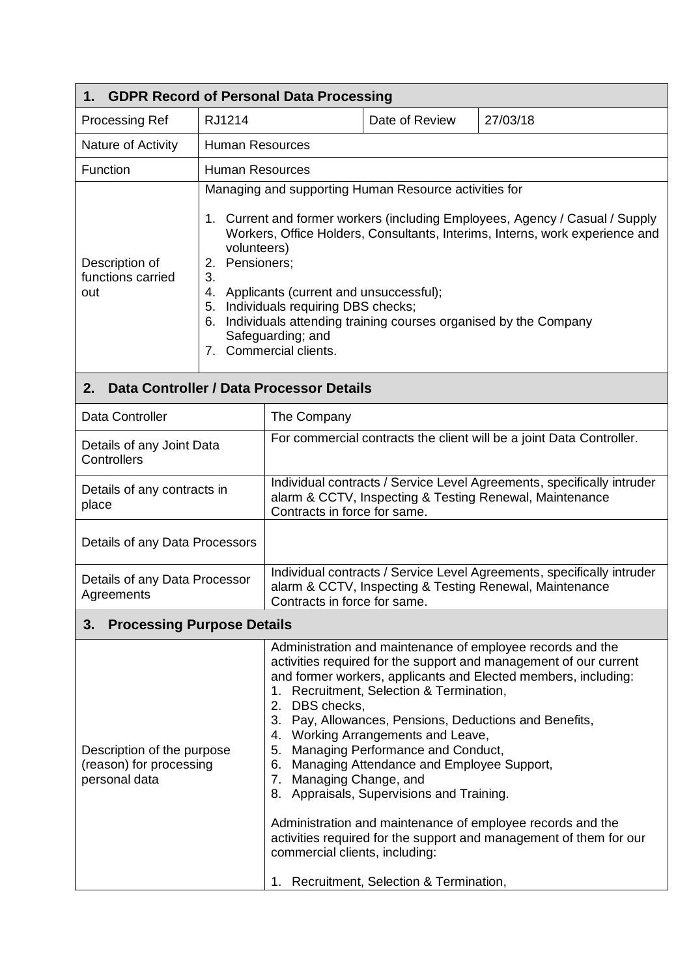| <b>GDPR Record of Personal Data Processing</b><br>1.                   |                                                                                                                                                                                                                                                                                                                                                                                                                                                                           |                                                                                                                                                                   |                                                                                                                                                                                                                                                              |                                                                                                                                                                                                                                                                                                                                                                                                 |  |
|------------------------------------------------------------------------|---------------------------------------------------------------------------------------------------------------------------------------------------------------------------------------------------------------------------------------------------------------------------------------------------------------------------------------------------------------------------------------------------------------------------------------------------------------------------|-------------------------------------------------------------------------------------------------------------------------------------------------------------------|--------------------------------------------------------------------------------------------------------------------------------------------------------------------------------------------------------------------------------------------------------------|-------------------------------------------------------------------------------------------------------------------------------------------------------------------------------------------------------------------------------------------------------------------------------------------------------------------------------------------------------------------------------------------------|--|
| <b>Processing Ref</b>                                                  | RJ1214                                                                                                                                                                                                                                                                                                                                                                                                                                                                    |                                                                                                                                                                   | Date of Review                                                                                                                                                                                                                                               | 27/03/18                                                                                                                                                                                                                                                                                                                                                                                        |  |
| Nature of Activity                                                     | <b>Human Resources</b>                                                                                                                                                                                                                                                                                                                                                                                                                                                    |                                                                                                                                                                   |                                                                                                                                                                                                                                                              |                                                                                                                                                                                                                                                                                                                                                                                                 |  |
| Function                                                               | <b>Human Resources</b>                                                                                                                                                                                                                                                                                                                                                                                                                                                    |                                                                                                                                                                   |                                                                                                                                                                                                                                                              |                                                                                                                                                                                                                                                                                                                                                                                                 |  |
| Description of<br>functions carried<br>out                             | Managing and supporting Human Resource activities for<br>1. Current and former workers (including Employees, Agency / Casual / Supply<br>Workers, Office Holders, Consultants, Interims, Interns, work experience and<br>volunteers)<br>2. Pensioners;<br>3.<br>4. Applicants (current and unsuccessful);<br>5. Individuals requiring DBS checks;<br>Individuals attending training courses organised by the Company<br>6.<br>Safeguarding; and<br>7. Commercial clients. |                                                                                                                                                                   |                                                                                                                                                                                                                                                              |                                                                                                                                                                                                                                                                                                                                                                                                 |  |
| Data Controller / Data Processor Details<br>2.                         |                                                                                                                                                                                                                                                                                                                                                                                                                                                                           |                                                                                                                                                                   |                                                                                                                                                                                                                                                              |                                                                                                                                                                                                                                                                                                                                                                                                 |  |
| Data Controller                                                        |                                                                                                                                                                                                                                                                                                                                                                                                                                                                           | The Company                                                                                                                                                       |                                                                                                                                                                                                                                                              |                                                                                                                                                                                                                                                                                                                                                                                                 |  |
| Details of any Joint Data<br>Controllers                               |                                                                                                                                                                                                                                                                                                                                                                                                                                                                           | For commercial contracts the client will be a joint Data Controller.                                                                                              |                                                                                                                                                                                                                                                              |                                                                                                                                                                                                                                                                                                                                                                                                 |  |
| Details of any contracts in<br>place                                   |                                                                                                                                                                                                                                                                                                                                                                                                                                                                           | Individual contracts / Service Level Agreements, specifically intruder<br>alarm & CCTV, Inspecting & Testing Renewal, Maintenance<br>Contracts in force for same. |                                                                                                                                                                                                                                                              |                                                                                                                                                                                                                                                                                                                                                                                                 |  |
| Details of any Data Processors                                         |                                                                                                                                                                                                                                                                                                                                                                                                                                                                           |                                                                                                                                                                   |                                                                                                                                                                                                                                                              |                                                                                                                                                                                                                                                                                                                                                                                                 |  |
| Details of any Data Processor<br>Agreements                            |                                                                                                                                                                                                                                                                                                                                                                                                                                                                           | Individual contracts / Service Level Agreements, specifically intruder<br>alarm & CCTV, Inspecting & Testing Renewal, Maintenance<br>Contracts in force for same. |                                                                                                                                                                                                                                                              |                                                                                                                                                                                                                                                                                                                                                                                                 |  |
| <b>Processing Purpose Details</b><br>3.                                |                                                                                                                                                                                                                                                                                                                                                                                                                                                                           |                                                                                                                                                                   |                                                                                                                                                                                                                                                              |                                                                                                                                                                                                                                                                                                                                                                                                 |  |
| Description of the purpose<br>(reason) for processing<br>personal data |                                                                                                                                                                                                                                                                                                                                                                                                                                                                           | 2. DBS checks,<br>7. Managing Change, and<br>commercial clients, including:<br>1.                                                                                 | 1. Recruitment, Selection & Termination,<br>4. Working Arrangements and Leave,<br>5. Managing Performance and Conduct,<br>6. Managing Attendance and Employee Support,<br>8. Appraisals, Supervisions and Training.<br>Recruitment, Selection & Termination, | Administration and maintenance of employee records and the<br>activities required for the support and management of our current<br>and former workers, applicants and Elected members, including:<br>3. Pay, Allowances, Pensions, Deductions and Benefits,<br>Administration and maintenance of employee records and the<br>activities required for the support and management of them for our |  |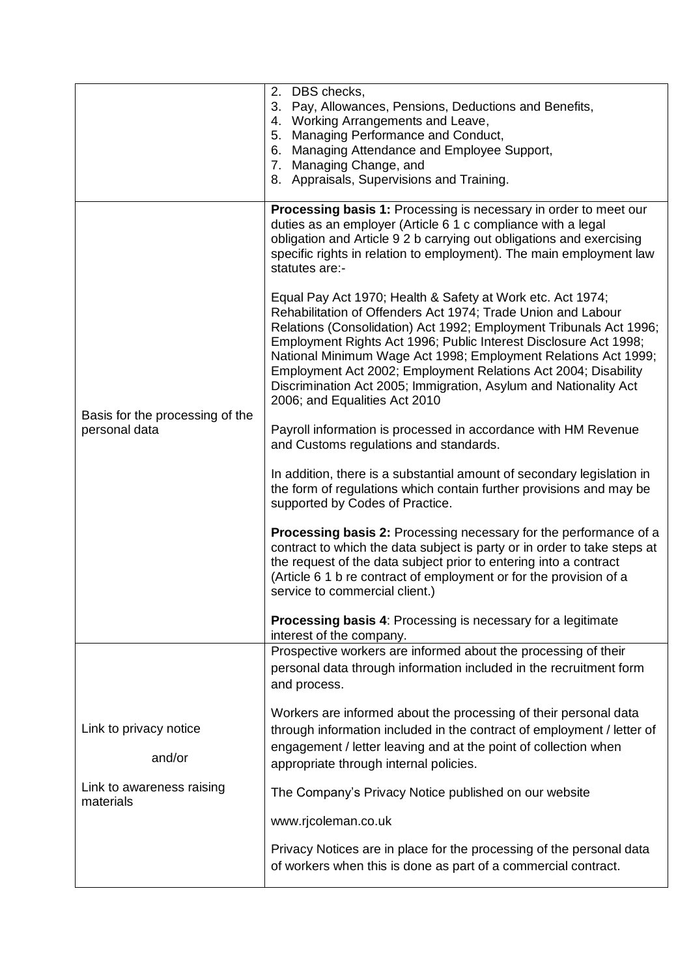|                                        | 2. DBS checks,                                                                                                                                                                                                                                                                                                                                                                                                                                                                                                |  |
|----------------------------------------|---------------------------------------------------------------------------------------------------------------------------------------------------------------------------------------------------------------------------------------------------------------------------------------------------------------------------------------------------------------------------------------------------------------------------------------------------------------------------------------------------------------|--|
|                                        | 3. Pay, Allowances, Pensions, Deductions and Benefits,                                                                                                                                                                                                                                                                                                                                                                                                                                                        |  |
|                                        | 4. Working Arrangements and Leave,<br>5. Managing Performance and Conduct,                                                                                                                                                                                                                                                                                                                                                                                                                                    |  |
|                                        | 6. Managing Attendance and Employee Support,                                                                                                                                                                                                                                                                                                                                                                                                                                                                  |  |
|                                        | 7. Managing Change, and                                                                                                                                                                                                                                                                                                                                                                                                                                                                                       |  |
|                                        | 8. Appraisals, Supervisions and Training.                                                                                                                                                                                                                                                                                                                                                                                                                                                                     |  |
|                                        |                                                                                                                                                                                                                                                                                                                                                                                                                                                                                                               |  |
|                                        | Processing basis 1: Processing is necessary in order to meet our<br>duties as an employer (Article 6 1 c compliance with a legal<br>obligation and Article 9 2 b carrying out obligations and exercising<br>specific rights in relation to employment). The main employment law<br>statutes are:-                                                                                                                                                                                                             |  |
| Basis for the processing of the        | Equal Pay Act 1970; Health & Safety at Work etc. Act 1974;<br>Rehabilitation of Offenders Act 1974; Trade Union and Labour<br>Relations (Consolidation) Act 1992; Employment Tribunals Act 1996;<br>Employment Rights Act 1996; Public Interest Disclosure Act 1998;<br>National Minimum Wage Act 1998; Employment Relations Act 1999;<br>Employment Act 2002; Employment Relations Act 2004; Disability<br>Discrimination Act 2005; Immigration, Asylum and Nationality Act<br>2006; and Equalities Act 2010 |  |
| personal data                          | Payroll information is processed in accordance with HM Revenue<br>and Customs regulations and standards.                                                                                                                                                                                                                                                                                                                                                                                                      |  |
|                                        | In addition, there is a substantial amount of secondary legislation in<br>the form of regulations which contain further provisions and may be<br>supported by Codes of Practice.                                                                                                                                                                                                                                                                                                                              |  |
|                                        | <b>Processing basis 2:</b> Processing necessary for the performance of a<br>contract to which the data subject is party or in order to take steps at<br>the request of the data subject prior to entering into a contract<br>(Article 6 1 b re contract of employment or for the provision of a<br>service to commercial client.)                                                                                                                                                                             |  |
|                                        | <b>Processing basis 4: Processing is necessary for a legitimate</b><br>interest of the company.                                                                                                                                                                                                                                                                                                                                                                                                               |  |
|                                        | Prospective workers are informed about the processing of their<br>personal data through information included in the recruitment form<br>and process.                                                                                                                                                                                                                                                                                                                                                          |  |
|                                        | Workers are informed about the processing of their personal data                                                                                                                                                                                                                                                                                                                                                                                                                                              |  |
| Link to privacy notice                 | through information included in the contract of employment / letter of                                                                                                                                                                                                                                                                                                                                                                                                                                        |  |
| and/or                                 | engagement / letter leaving and at the point of collection when<br>appropriate through internal policies.                                                                                                                                                                                                                                                                                                                                                                                                     |  |
| Link to awareness raising<br>materials | The Company's Privacy Notice published on our website                                                                                                                                                                                                                                                                                                                                                                                                                                                         |  |
|                                        | www.rjcoleman.co.uk                                                                                                                                                                                                                                                                                                                                                                                                                                                                                           |  |
|                                        | Privacy Notices are in place for the processing of the personal data<br>of workers when this is done as part of a commercial contract.                                                                                                                                                                                                                                                                                                                                                                        |  |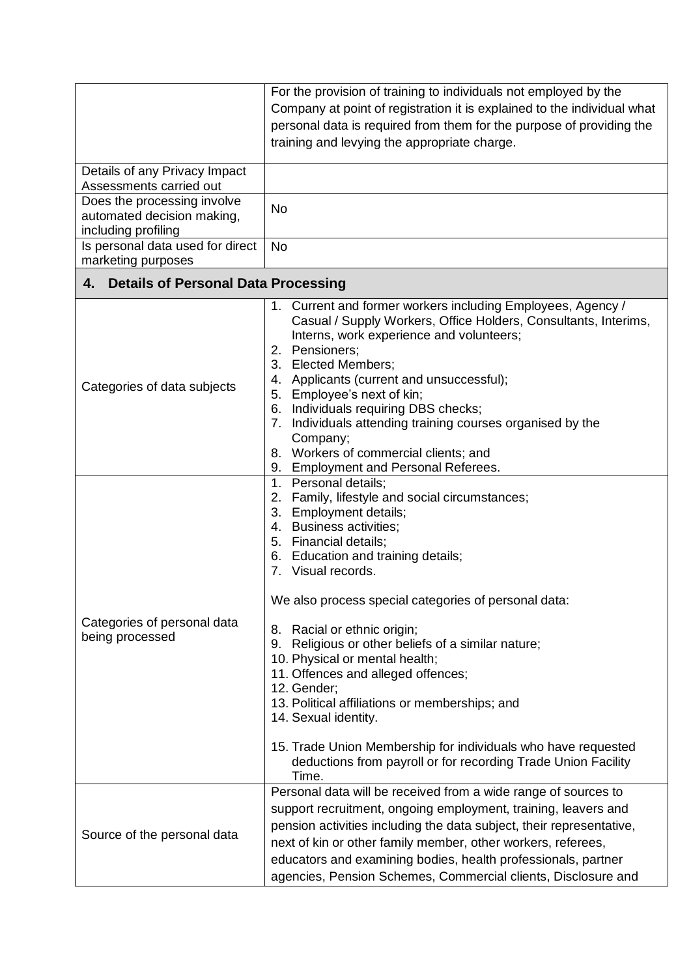|                                                                                  | For the provision of training to individuals not employed by the<br>Company at point of registration it is explained to the individual what<br>personal data is required from them for the purpose of providing the<br>training and levying the appropriate charge.                                                                                                                                                                                                                                                                                                                                                                                                       |  |  |  |
|----------------------------------------------------------------------------------|---------------------------------------------------------------------------------------------------------------------------------------------------------------------------------------------------------------------------------------------------------------------------------------------------------------------------------------------------------------------------------------------------------------------------------------------------------------------------------------------------------------------------------------------------------------------------------------------------------------------------------------------------------------------------|--|--|--|
| Details of any Privacy Impact<br>Assessments carried out                         |                                                                                                                                                                                                                                                                                                                                                                                                                                                                                                                                                                                                                                                                           |  |  |  |
| Does the processing involve<br>automated decision making,<br>including profiling | No                                                                                                                                                                                                                                                                                                                                                                                                                                                                                                                                                                                                                                                                        |  |  |  |
| Is personal data used for direct<br>marketing purposes                           | No                                                                                                                                                                                                                                                                                                                                                                                                                                                                                                                                                                                                                                                                        |  |  |  |
| <b>Details of Personal Data Processing</b><br>4.                                 |                                                                                                                                                                                                                                                                                                                                                                                                                                                                                                                                                                                                                                                                           |  |  |  |
| Categories of data subjects                                                      | 1. Current and former workers including Employees, Agency /<br>Casual / Supply Workers, Office Holders, Consultants, Interims,<br>Interns, work experience and volunteers;<br>2. Pensioners;<br>3. Elected Members;<br>4. Applicants (current and unsuccessful);<br>5. Employee's next of kin;<br>6. Individuals requiring DBS checks;<br>Individuals attending training courses organised by the<br>7.<br>Company;<br>8. Workers of commercial clients; and<br>9. Employment and Personal Referees.                                                                                                                                                                      |  |  |  |
| Categories of personal data<br>being processed                                   | 1. Personal details;<br>2. Family, lifestyle and social circumstances;<br>3. Employment details;<br>4. Business activities;<br>5. Financial details;<br>6. Education and training details;<br>7. Visual records.<br>We also process special categories of personal data:<br>8. Racial or ethnic origin;<br>9. Religious or other beliefs of a similar nature;<br>10. Physical or mental health;<br>11. Offences and alleged offences;<br>12. Gender;<br>13. Political affiliations or memberships; and<br>14. Sexual identity.<br>15. Trade Union Membership for individuals who have requested<br>deductions from payroll or for recording Trade Union Facility<br>Time. |  |  |  |
| Source of the personal data                                                      | Personal data will be received from a wide range of sources to<br>support recruitment, ongoing employment, training, leavers and<br>pension activities including the data subject, their representative,<br>next of kin or other family member, other workers, referees,<br>educators and examining bodies, health professionals, partner<br>agencies, Pension Schemes, Commercial clients, Disclosure and                                                                                                                                                                                                                                                                |  |  |  |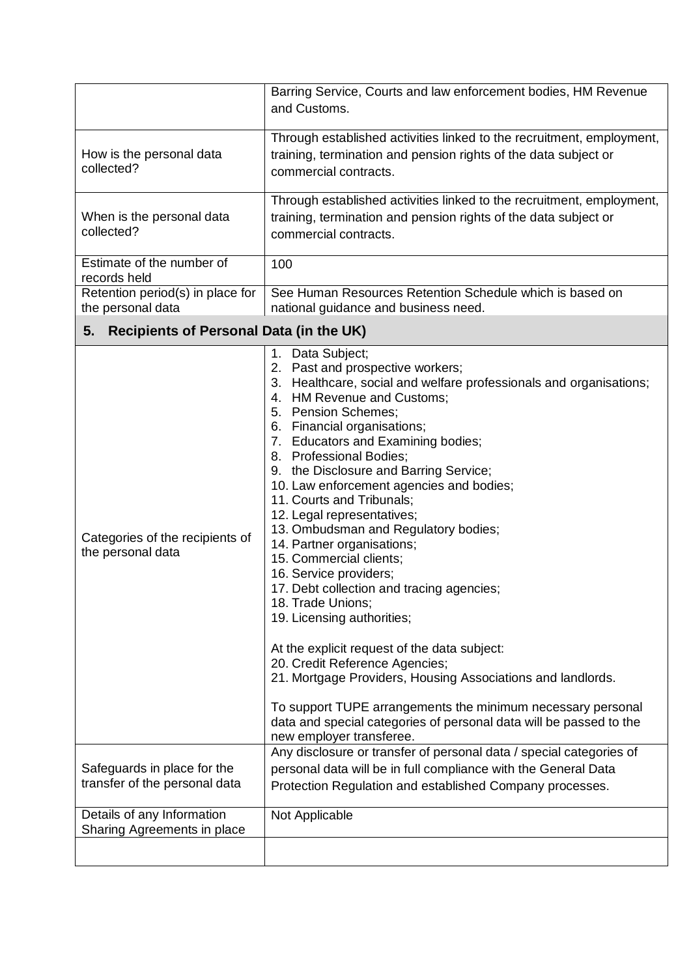|                                                              | Barring Service, Courts and law enforcement bodies, HM Revenue<br>and Customs.                                                                                                                                                                                                                                                                                                                                                                                                                                                                                                                                                                                                                                                                                                                                                                                                                                                                                                |  |
|--------------------------------------------------------------|-------------------------------------------------------------------------------------------------------------------------------------------------------------------------------------------------------------------------------------------------------------------------------------------------------------------------------------------------------------------------------------------------------------------------------------------------------------------------------------------------------------------------------------------------------------------------------------------------------------------------------------------------------------------------------------------------------------------------------------------------------------------------------------------------------------------------------------------------------------------------------------------------------------------------------------------------------------------------------|--|
|                                                              |                                                                                                                                                                                                                                                                                                                                                                                                                                                                                                                                                                                                                                                                                                                                                                                                                                                                                                                                                                               |  |
| How is the personal data<br>collected?                       | Through established activities linked to the recruitment, employment,<br>training, termination and pension rights of the data subject or<br>commercial contracts.                                                                                                                                                                                                                                                                                                                                                                                                                                                                                                                                                                                                                                                                                                                                                                                                             |  |
| When is the personal data<br>collected?                      | Through established activities linked to the recruitment, employment,<br>training, termination and pension rights of the data subject or<br>commercial contracts.                                                                                                                                                                                                                                                                                                                                                                                                                                                                                                                                                                                                                                                                                                                                                                                                             |  |
| Estimate of the number of<br>records held                    | 100                                                                                                                                                                                                                                                                                                                                                                                                                                                                                                                                                                                                                                                                                                                                                                                                                                                                                                                                                                           |  |
| Retention period(s) in place for<br>the personal data        | See Human Resources Retention Schedule which is based on<br>national guidance and business need.                                                                                                                                                                                                                                                                                                                                                                                                                                                                                                                                                                                                                                                                                                                                                                                                                                                                              |  |
| <b>Recipients of Personal Data (in the UK)</b><br>5.         |                                                                                                                                                                                                                                                                                                                                                                                                                                                                                                                                                                                                                                                                                                                                                                                                                                                                                                                                                                               |  |
| Categories of the recipients of<br>the personal data         | 1. Data Subject;<br>2. Past and prospective workers;<br>3. Healthcare, social and welfare professionals and organisations;<br>4. HM Revenue and Customs;<br>5. Pension Schemes;<br>6. Financial organisations;<br>7. Educators and Examining bodies;<br>8. Professional Bodies;<br>9. the Disclosure and Barring Service;<br>10. Law enforcement agencies and bodies;<br>11. Courts and Tribunals;<br>12. Legal representatives;<br>13. Ombudsman and Regulatory bodies;<br>14. Partner organisations;<br>15. Commercial clients;<br>16. Service providers;<br>17. Debt collection and tracing agencies;<br>18. Trade Unions;<br>19. Licensing authorities;<br>At the explicit request of the data subject:<br>20. Credit Reference Agencies;<br>21. Mortgage Providers, Housing Associations and landlords.<br>To support TUPE arrangements the minimum necessary personal<br>data and special categories of personal data will be passed to the<br>new employer transferee. |  |
| Safeguards in place for the<br>transfer of the personal data | Any disclosure or transfer of personal data / special categories of<br>personal data will be in full compliance with the General Data<br>Protection Regulation and established Company processes.                                                                                                                                                                                                                                                                                                                                                                                                                                                                                                                                                                                                                                                                                                                                                                             |  |
| Details of any Information<br>Sharing Agreements in place    | Not Applicable                                                                                                                                                                                                                                                                                                                                                                                                                                                                                                                                                                                                                                                                                                                                                                                                                                                                                                                                                                |  |
|                                                              |                                                                                                                                                                                                                                                                                                                                                                                                                                                                                                                                                                                                                                                                                                                                                                                                                                                                                                                                                                               |  |